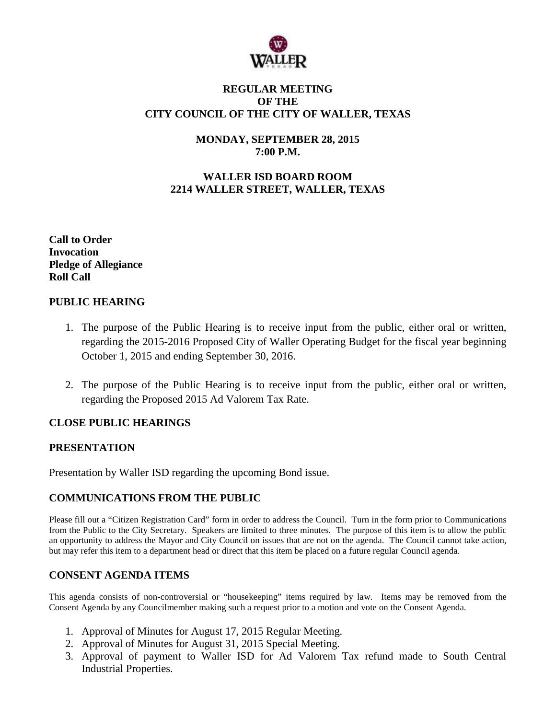

#### **REGULAR MEETING OF THE CITY COUNCIL OF THE CITY OF WALLER, TEXAS**

# **MONDAY, SEPTEMBER 28, 2015 7:00 P.M.**

# **WALLER ISD BOARD ROOM 2214 WALLER STREET, WALLER, TEXAS**

**Call to Order Invocation Pledge of Allegiance Roll Call**

## **PUBLIC HEARING**

- 1. The purpose of the Public Hearing is to receive input from the public, either oral or written, regarding the 2015-2016 Proposed City of Waller Operating Budget for the fiscal year beginning October 1, 2015 and ending September 30, 2016.
- 2. The purpose of the Public Hearing is to receive input from the public, either oral or written, regarding the Proposed 2015 Ad Valorem Tax Rate.

#### **CLOSE PUBLIC HEARINGS**

#### **PRESENTATION**

Presentation by Waller ISD regarding the upcoming Bond issue.

#### **COMMUNICATIONS FROM THE PUBLIC**

Please fill out a "Citizen Registration Card" form in order to address the Council. Turn in the form prior to Communications from the Public to the City Secretary. Speakers are limited to three minutes. The purpose of this item is to allow the public an opportunity to address the Mayor and City Council on issues that are not on the agenda. The Council cannot take action, but may refer this item to a department head or direct that this item be placed on a future regular Council agenda.

#### **CONSENT AGENDA ITEMS**

This agenda consists of non-controversial or "housekeeping" items required by law. Items may be removed from the Consent Agenda by any Councilmember making such a request prior to a motion and vote on the Consent Agenda.

- 1. Approval of Minutes for August 17, 2015 Regular Meeting.
- 2. Approval of Minutes for August 31, 2015 Special Meeting.
- 3. Approval of payment to Waller ISD for Ad Valorem Tax refund made to South Central Industrial Properties.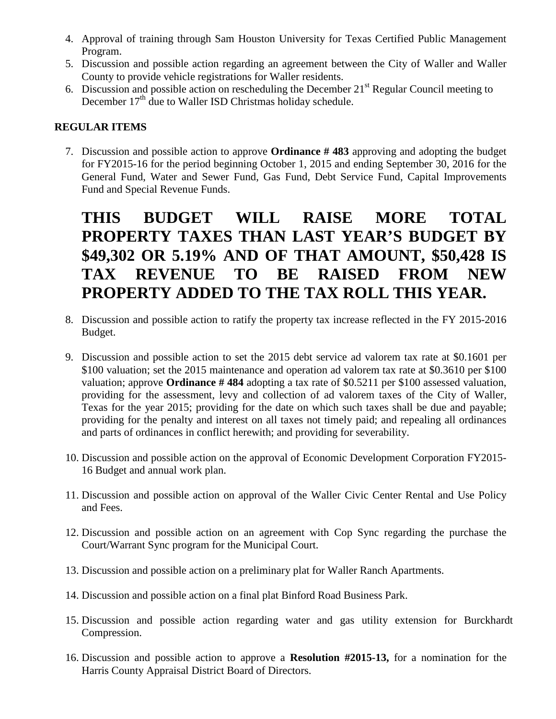- 4. Approval of training through Sam Houston University for Texas Certified Public Management Program.
- 5. Discussion and possible action regarding an agreement between the City of Waller and Waller County to provide vehicle registrations for Waller residents.
- 6. Discussion and possible action on rescheduling the December  $21<sup>st</sup>$  Regular Council meeting to December  $17<sup>th</sup>$  due to Waller ISD Christmas holiday schedule.

## **REGULAR ITEMS**

7. Discussion and possible action to approve **Ordinance # 483** approving and adopting the budget for FY2015-16 for the period beginning October 1, 2015 and ending September 30, 2016 for the General Fund, Water and Sewer Fund, Gas Fund, Debt Service Fund, Capital Improvements Fund and Special Revenue Funds.

# **THIS BUDGET WILL RAISE MORE TOTAL PROPERTY TAXES THAN LAST YEAR'S BUDGET BY \$49,302 OR 5.19% AND OF THAT AMOUNT, \$50,428 IS TAX REVENUE TO BE RAISED FROM NEW PROPERTY ADDED TO THE TAX ROLL THIS YEAR.**

- 8. Discussion and possible action to ratify the property tax increase reflected in the FY 2015-2016 Budget.
- 9. Discussion and possible action to set the 2015 debt service ad valorem tax rate at \$0.1601 per \$100 valuation; set the 2015 maintenance and operation ad valorem tax rate at \$0.3610 per \$100 valuation; approve **Ordinance # 484** adopting a tax rate of \$0.5211 per \$100 assessed valuation, providing for the assessment, levy and collection of ad valorem taxes of the City of Waller, Texas for the year 2015; providing for the date on which such taxes shall be due and payable; providing for the penalty and interest on all taxes not timely paid; and repealing all ordinances and parts of ordinances in conflict herewith; and providing for severability.
- 10. Discussion and possible action on the approval of Economic Development Corporation FY2015- 16 Budget and annual work plan.
- 11. Discussion and possible action on approval of the Waller Civic Center Rental and Use Policy and Fees.
- 12. Discussion and possible action on an agreement with Cop Sync regarding the purchase the Court/Warrant Sync program for the Municipal Court.
- 13. Discussion and possible action on a preliminary plat for Waller Ranch Apartments.
- 14. Discussion and possible action on a final plat Binford Road Business Park.
- 15. Discussion and possible action regarding water and gas utility extension for Burckhardt Compression.
- 16. Discussion and possible action to approve a **Resolution #2015-13,** for a nomination for the Harris County Appraisal District Board of Directors.